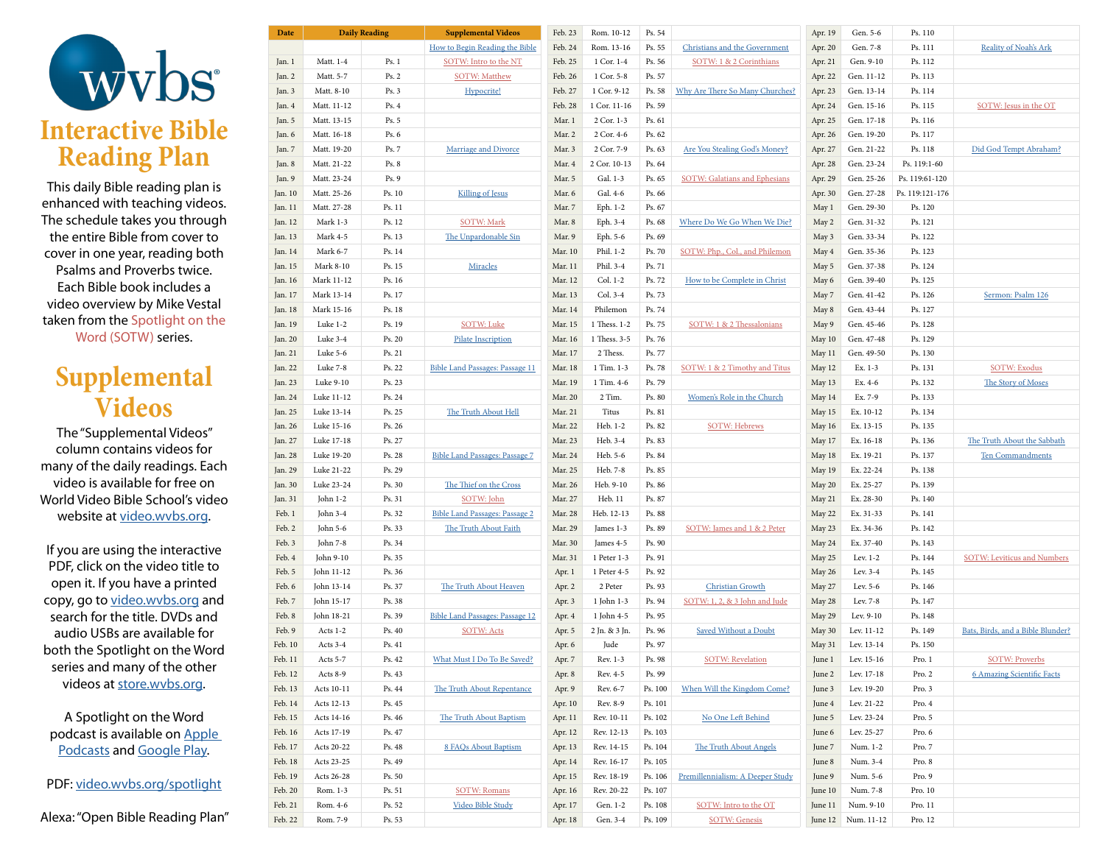

This daily Bible reading plan is enhanced with teaching videos. The schedule takes you through the entire Bible from cover to cover in one year, reading both Psalms and Proverbs twice. Each Bible book includes a video overview by Mike Vestal taken from the Spotlight on the Word (SOTW) series.

## **Supplemental Videos**

The "Supplemental Videos" column contains videos for many of the daily readings. Each video is available for free on World Video Bible School's video website at [video.wvbs.org](https://video.wvbs.org).

If you are using the interactive PDF, click on the video title to open it. If you have a printed copy, go to [video.wvbs.org](https://video.wvbs.org) and search for the title. DVDs and audio USBs are available for both the Spotlight on the Word series and many of the other videos at [store.wvbs.org](https://store.wvbs.org).

A Spotlight on the Word podcast is available on [Apple](https://podcasts.apple.com/us/podcast/spotlight-on-the-word/id1326322522)  [Podcasts](https://podcasts.apple.com/us/podcast/spotlight-on-the-word/id1326322522) and [Google Play](https://play.google.com/music/m/Iayujmmtd6hqxw4zehlhibxuye4?t=Spotlight_on_the_Word).

PDF: [video.wvbs.org/spotlight](https://video.wvbs.org/spotlight)

Alexa: "Open Bible Reading Plan"

| Date               | <b>Daily Reading</b> |        | <b>Supplemental Videos</b>             | Feb. 23 | Rom. 10-12    | Ps. 54  |                                      | Apr. 19 | Gen. 5-6             | Ps. 110         |                                    |
|--------------------|----------------------|--------|----------------------------------------|---------|---------------|---------|--------------------------------------|---------|----------------------|-----------------|------------------------------------|
|                    |                      |        | How to Begin Reading the Bible         | Feb. 24 | Rom. 13-16    | Ps. 55  | Christians and the Government        | Apr. 20 | Gen. 7-8             | Ps. 111         | Reality of Noah's Ark              |
| Jan. 1             | Matt. 1-4            | Ps. 1  | SOTW: Intro to the NT                  | Feb. 25 | 1 Cor. 1-4    | Ps. 56  | SOTW: 1 & 2 Corinthians              | Apr. 21 | Gen. 9-10            | Ps. 112         |                                    |
| Jan. 2             | Matt. 5-7            | Ps. 2  | <b>SOTW: Matthew</b>                   | Feb. 26 | 1 Cor. 5-8    | Ps. 57  |                                      | Apr. 22 | Gen. 11-12           | Ps. 113         |                                    |
| Jan. 3             | Matt. 8-10           | Ps. 3  | Hypocrite!                             | Feb. 27 | 1 Cor. 9-12   | Ps. 58  | Why Are There So Many Churches?      | Apr. 23 | Gen. 13-14           | Ps. 114         |                                    |
| Jan. 4             | Matt. 11-12          | Ps. 4  |                                        | Feb. 28 | 1 Cor. 11-16  | Ps. 59  |                                      | Apr. 24 | Gen. 15-16           | Ps. 115         | SOTW: Jesus in the OT              |
| Jan. 5             | Matt. 13-15          | Ps. 5  |                                        | Mar. 1  | 2 Cor. 1-3    | Ps. 61  |                                      | Apr. 25 | Gen. 17-18           | Ps. 116         |                                    |
| Jan. 6             | Matt. 16-18          | Ps. 6  |                                        | Mar. 2  | 2 Cor. 4-6    | Ps. 62  |                                      | Apr. 26 | Gen. 19-20           | Ps. 117         |                                    |
| Jan. 7             | Matt. 19-20          | Ps. 7  | Marriage and Divorce                   | Mar. 3  | 2 Cor. 7-9    | Ps. 63  | Are You Stealing God's Money?        | Apr. 27 | Gen. 21-22           | Ps. 118         | Did God Tempt Abraham?             |
| Jan. 8             | Matt. 21-22          | Ps. 8  |                                        | Mar. 4  | 2 Cor. 10-13  | Ps. 64  |                                      | Apr. 28 | Gen. 23-24           | Ps. 119:1-60    |                                    |
| Jan. 9             | Matt. 23-24          | Ps. 9  |                                        | Mar. 5  | Gal. 1-3      | Ps. 65  | <b>SOTW: Galatians and Ephesians</b> | Apr. 29 | Gen. 25-26           | Ps. 119:61-120  |                                    |
| Jan. 10            | Matt. 25-26          | Ps. 10 | <b>Killing of Jesus</b>                | Mar. 6  | Gal. 4-6      | Ps. 66  |                                      | Apr. 30 | Gen. 27-28           | Ps. 119:121-176 |                                    |
| Jan. 11            | Matt. 27-28          | Ps. 11 |                                        | Mar. 7  | Eph. 1-2      | Ps. 67  |                                      | May 1   | Gen. 29-30           | Ps. 120         |                                    |
| Jan. 12            | Mark 1-3             | Ps. 12 | <b>SOTW: Mark</b>                      | Mar. 8  | Eph. 3-4      | Ps. 68  | Where Do We Go When We Die?          | May 2   | Gen. 31-32           | Ps. 121         |                                    |
| Jan. 13            | Mark 4-5             | Ps. 13 | The Unpardonable Sin                   | Mar. 9  | Eph. 5-6      | Ps. 69  |                                      | May 3   | Gen. 33-34           | Ps. 122         |                                    |
| Jan. 14            | Mark 6-7             | Ps. 14 |                                        | Mar. 10 | Phil. 1-2     | Ps. 70  | SOTW: Php., Col., and Philemon       | May 4   | Gen. 35-36           | Ps. 123         |                                    |
| Jan. 15            | <b>Mark 8-10</b>     | Ps. 15 | Miracles                               | Mar. 11 | Phil. 3-4     | Ps. 71  |                                      | May 5   | Gen. 37-38           | Ps. 124         |                                    |
|                    |                      | Ps. 16 |                                        | Mar. 12 | Col. 1-2      | Ps. 72  |                                      |         |                      |                 |                                    |
| Jan. 16            | Mark 11-12           |        |                                        |         |               |         | How to be Complete in Christ         | May 6   | Gen. 39-40           | Ps. 125         |                                    |
| Jan. 17            | Mark 13-14           | Ps. 17 |                                        | Mar. 13 | Col. 3-4      | Ps. 73  |                                      | May 7   | Gen. 41-42           | Ps. 126         | Sermon: Psalm 126                  |
| Jan. 18            | Mark 15-16           | Ps. 18 |                                        | Mar. 14 | Philemon      | Ps. 74  |                                      | May 8   | Gen. 43-44           | Ps. 127         |                                    |
| Jan. 19            | Luke 1-2             | Ps. 19 | <b>SOTW: Luke</b>                      | Mar. 15 | 1 Thess. 1-2  | Ps. 75  | SOTW: 1 & 2 Thessalonians            | May 9   | Gen. 45-46           | Ps. 128         |                                    |
| Jan. 20            | Luke 3-4             | Ps. 20 | <b>Pilate Inscription</b>              | Mar. 16 | 1 Thess. 3-5  | Ps. 76  |                                      | May 10  | Gen. 47-48           | Ps. 129         |                                    |
| Jan. 21            | Luke 5-6             | Ps. 21 |                                        | Mar. 17 | 2 Thess.      | Ps. 77  |                                      | May 11  | Gen. 49-50           | Ps. 130         |                                    |
| Jan. 22            | Luke 7-8             | Ps. 22 | <b>Bible Land Passages: Passage 11</b> | Mar. 18 | 1 Tim. 1-3    | Ps. 78  | SOTW: 1 & 2 Timothy and Titus        | May 12  | Ex. 1-3              | Ps. 131         | <b>SOTW: Exodus</b>                |
| Jan. 23            | Luke 9-10            | Ps. 23 |                                        | Mar. 19 | 1 Tim. 4-6    | Ps. 79  |                                      | May 13  | Ex. 4-6              | Ps. 132         | The Story of Moses                 |
| Jan. 24            | Luke 11-12           | Ps. 24 |                                        | Mar. 20 | 2 Tim.        | Ps. 80  | Women's Role in the Church           | May 14  | Ex. 7-9              | Ps. 133         |                                    |
| Jan. 25            | Luke 13-14           | Ps. 25 | The Truth About Hell                   | Mar. 21 | Titus         | Ps. 81  |                                      | May 15  | Ex. 10-12            | Ps. 134         |                                    |
| Jan. 26            | Luke 15-16           | Ps. 26 |                                        | Mar. 22 | Heb. 1-2      | Ps. 82  | <b>SOTW: Hebrews</b>                 | May 16  | Ex. 13-15            | Ps. 135         |                                    |
| Jan. 27            | Luke 17-18           | Ps. 27 |                                        | Mar. 23 | Heb. 3-4      | Ps. 83  |                                      | May 17  | Ex. 16-18            | Ps. 136         | The Truth About the Sabbath        |
| Jan. 28            | Luke 19-20           | Ps. 28 | <b>Bible Land Passages: Passage 7</b>  | Mar. 24 | Heb. 5-6      | Ps. 84  |                                      | May 18  | Ex. 19-21            | Ps. 137         | <b>Ten Commandments</b>            |
| Jan. 29            | Luke 21-22           | Ps. 29 |                                        | Mar. 25 | Heb. 7-8      | Ps. 85  |                                      | May 19  | Ex. 22-24            | Ps. 138         |                                    |
| Jan. 30            | Luke 23-24           | Ps. 30 | The Thief on the Cross                 | Mar. 26 | Heb. 9-10     | Ps. 86  |                                      | May 20  | Ex. 25-27            | Ps. 139         |                                    |
| Jan. 31            | John 1-2             | Ps. 31 | SOTW: John                             | Mar. 27 | Heb. 11       | Ps. 87  |                                      | May 21  | Ex. 28-30            | Ps. 140         |                                    |
| Feb. 1             | John 3-4             | Ps. 32 | <b>Bible Land Passages: Passage 2</b>  | Mar. 28 | Heb. 12-13    | Ps. 88  |                                      | May 22  | Ex. 31-33            | Ps. 141         |                                    |
| Feb. 2             | John 5-6             | Ps. 33 | The Truth About Faith                  | Mar. 29 | James 1-3     | Ps. 89  | SOTW: James and 1 & 2 Peter          | May 23  | Ex. 34-36            | Ps. 142         |                                    |
| Feb. 3             | John 7-8             | Ps. 34 |                                        | Mar. 30 | James 4-5     | Ps. 90  |                                      | May 24  | Ex. 37-40            | Ps. 143         |                                    |
| Feb. 4             | John 9-10            | Ps. 35 |                                        | Mar. 31 | 1 Peter 1-3   | Ps. 91  |                                      | May 25  | Lev. 1-2             | Ps. 144         | <b>SOTW: Leviticus and Numbers</b> |
| Feb. 5             | John 11-12           | Ps. 36 |                                        | Apr. 1  | 1 Peter 4-5   | Ps. 92  |                                      | May 26  | Lev. 3-4             | Ps. 145         |                                    |
| Feb. 6             | John 13-14           | Ps. 37 | The Truth About Heaven                 | Apr. 2  | 2 Peter       | Ps. 93  | <b>Christian Growth</b>              | May 27  | Lev. 5-6             | Ps. 146         |                                    |
| Feb. 7             | John 15-17           | Ps. 38 |                                        | Apr. 3  | 1 John 1-3    | Ps. 94  | SOTW: 1, 2, & 3 John and Jude        | May 28  | Lev. 7-8             | Ps. 147         |                                    |
| Feb. 8             | John 18-21           | Ps. 39 | <b>Bible Land Passages: Passage 12</b> | Apr. 4  | 1 John 4-5    | Ps. 95  |                                      | May 29  | Lev. 9-10            | Ps. 148         |                                    |
| Feb. 9             | Acts 1-2             | Ps. 40 | <b>SOTW: Acts</b>                      | Apr. 5  | 2 Jn. & 3 Jn. | Ps. 96  | <b>Saved Without a Doubt</b>         | May 30  | Lev. 11-12           | Ps. 149         | Bats, Birds, and a Bible Blunder?  |
| Feb. 10            | Acts 3-4             | Ps. 41 |                                        | Apr. 6  | Jude          | Ps. 97  |                                      | May 31  | Lev. 13-14           | Ps. 150         |                                    |
| Feb. 11            | Acts 5-7             | Ps. 42 | What Must I Do To Be Saved?            | Apr. 7  | Rev. 1-3      | Ps. 98  | <b>SOTW: Revelation</b>              | June 1  | Lev. 15-16           | Pro. 1          | <b>SOTW: Proverbs</b>              |
| Feb. 12            | Acts 8-9             | Ps. 43 |                                        | Apr. 8  | Rev. 4-5      | Ps. 99  |                                      | June 2  | Lev. 17-18           | Pro. 2          | <b>6 Amazing Scientific Facts</b>  |
| Feb. 13            | Acts 10-11           | Ps. 44 | The Truth About Repentance             | Apr. 9  | Rev. 6-7      | Ps. 100 | When Will the Kingdom Come?          | June 3  | Lev. 19-20           | Pro. 3          |                                    |
| Feb. 14            | Acts 12-13           | Ps. 45 |                                        | Apr. 10 | Rev. 8-9      | Ps. 101 |                                      | June 4  | Lev. 21-22           | Pro. 4          |                                    |
| Feb. 15            | Acts 14-16           | Ps. 46 | The Truth About Baptism                | Apr. 11 | Rev. 10-11    | Ps. 102 | No One Left Behind                   | June 5  | Lev. 23-24           | Pro. 5          |                                    |
| Feb. 16            | Acts 17-19           | Ps. 47 |                                        | Apr. 12 | Rev. 12-13    | Ps. 103 |                                      | June 6  | Lev. 25-27           | Pro. 6          |                                    |
| Feb. 17            | Acts 20-22           | Ps. 48 | 8 FAQs About Baptism                   |         | Rev. 14-15    |         | The Truth About Angels               |         |                      | Pro. 7          |                                    |
|                    |                      |        |                                        | Apr. 13 | Rev. 16-17    | Ps. 104 |                                      | June 7  | Num. 1-2<br>Num. 3-4 |                 |                                    |
| Feb. 18            | Acts 23-25           | Ps. 49 |                                        | Apr. 14 |               | Ps. 105 |                                      | June 8  |                      | Pro. 8          |                                    |
| Feb. 19            | Acts 26-28           | Ps. 50 |                                        | Apr. 15 | Rev. 18-19    | Ps. 106 | Premillennialism: A Deeper Study     | June 9  | Num. 5-6             | Pro. 9          |                                    |
|                    | Rom. 1-3             | Ps. 51 | <b>SOTW: Romans</b>                    | Apr. 16 | Rev. 20-22    | Ps. 107 |                                      | June 10 | Num. 7-8             | Pro. 10         |                                    |
| Feb. 20<br>Feb. 21 | Rom. 4-6             | Ps. 52 | Video Bible Study                      | Apr. 17 | Gen. 1-2      | Ps. 108 | SOTW: Intro to the OT                | June 11 | Num. 9-10            | Pro. 11         |                                    |